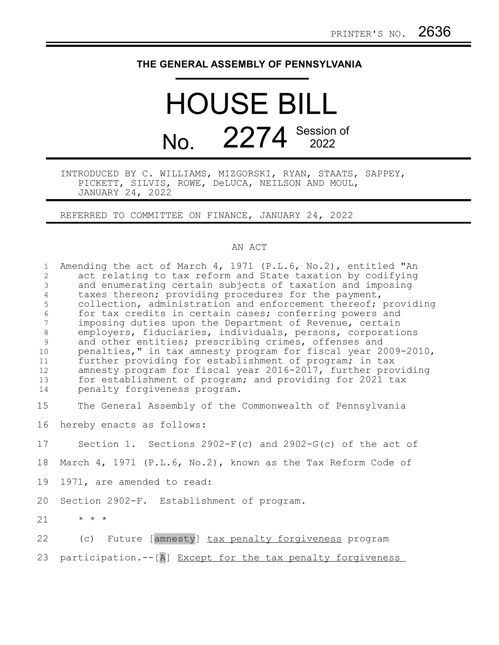## **THE GENERAL ASSEMBLY OF PENNSYLVANIA**

## HOUSE BILL No. 2274 Session of

INTRODUCED BY C. WILLIAMS, MIZGORSKI, RYAN, STAATS, SAPPEY, PICKETT, SILVIS, ROWE, DeLUCA, NEILSON AND MOUL, JANUARY 24, 2022

REFERRED TO COMMITTEE ON FINANCE, JANUARY 24, 2022

## AN ACT

| $\mathbf 1$<br>$\overline{2}$<br>$\mathsf 3$<br>$\overline{4}$<br>5<br>6<br>$7\phantom{.0}$<br>$\,8\,$<br>9<br>10<br>11<br>12 <sup>°</sup><br>13<br>14 | Amending the act of March 4, 1971 (P.L.6, No.2), entitled "An<br>act relating to tax reform and State taxation by codifying<br>and enumerating certain subjects of taxation and imposing<br>taxes thereon; providing procedures for the payment,<br>collection, administration and enforcement thereof; providing<br>for tax credits in certain cases; conferring powers and<br>imposing duties upon the Department of Revenue, certain<br>employers, fiduciaries, individuals, persons, corporations<br>and other entities; prescribing crimes, offenses and<br>penalties," in tax amnesty program for fiscal year 2009-2010,<br>further providing for establishment of program; in tax<br>amnesty program for fiscal year 2016-2017, further providing<br>for establishment of program; and providing for 2021 tax<br>penalty forgiveness program. |
|--------------------------------------------------------------------------------------------------------------------------------------------------------|------------------------------------------------------------------------------------------------------------------------------------------------------------------------------------------------------------------------------------------------------------------------------------------------------------------------------------------------------------------------------------------------------------------------------------------------------------------------------------------------------------------------------------------------------------------------------------------------------------------------------------------------------------------------------------------------------------------------------------------------------------------------------------------------------------------------------------------------------|
| 15                                                                                                                                                     | The General Assembly of the Commonwealth of Pennsylvania                                                                                                                                                                                                                                                                                                                                                                                                                                                                                                                                                                                                                                                                                                                                                                                             |
| 16                                                                                                                                                     | hereby enacts as follows:                                                                                                                                                                                                                                                                                                                                                                                                                                                                                                                                                                                                                                                                                                                                                                                                                            |
| 17                                                                                                                                                     | Section 1. Sections $2902-F(c)$ and $2902-G(c)$ of the act of                                                                                                                                                                                                                                                                                                                                                                                                                                                                                                                                                                                                                                                                                                                                                                                        |
| 18                                                                                                                                                     | March 4, 1971 (P.L.6, No.2), known as the Tax Reform Code of                                                                                                                                                                                                                                                                                                                                                                                                                                                                                                                                                                                                                                                                                                                                                                                         |
| 19                                                                                                                                                     | 1971, are amended to read:                                                                                                                                                                                                                                                                                                                                                                                                                                                                                                                                                                                                                                                                                                                                                                                                                           |
| 20                                                                                                                                                     | Section 2902-F. Establishment of program.                                                                                                                                                                                                                                                                                                                                                                                                                                                                                                                                                                                                                                                                                                                                                                                                            |
| 21                                                                                                                                                     | $\star$ $\star$ $\star$                                                                                                                                                                                                                                                                                                                                                                                                                                                                                                                                                                                                                                                                                                                                                                                                                              |
| 22                                                                                                                                                     | (c) Future [amnesty] tax penalty forgiveness program                                                                                                                                                                                                                                                                                                                                                                                                                                                                                                                                                                                                                                                                                                                                                                                                 |
| 23                                                                                                                                                     | participation.--[A] Except for the tax penalty forgiveness                                                                                                                                                                                                                                                                                                                                                                                                                                                                                                                                                                                                                                                                                                                                                                                           |
|                                                                                                                                                        |                                                                                                                                                                                                                                                                                                                                                                                                                                                                                                                                                                                                                                                                                                                                                                                                                                                      |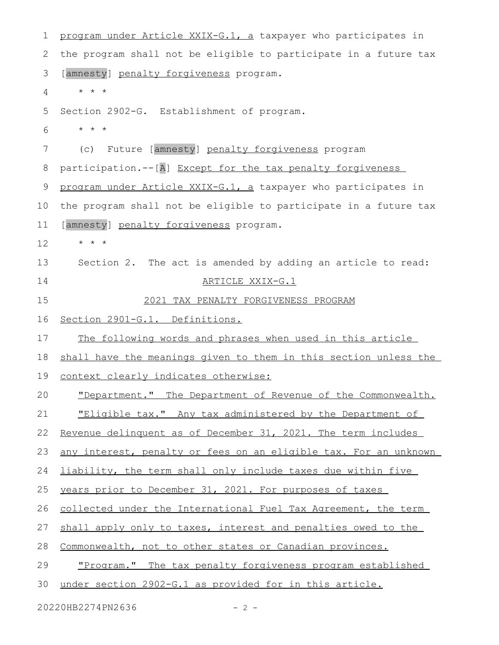| 1  | program under Article XXIX-G.1, a taxpayer who participates in    |
|----|-------------------------------------------------------------------|
| 2  | the program shall not be eligible to participate in a future tax  |
| 3  | [amnesty] penalty forgiveness program.                            |
| 4  | $\star$ $\star$ $\star$                                           |
| 5  | Section 2902-G. Establishment of program.                         |
| 6  | $\star$ $\star$ $\star$                                           |
| 7  | Future [amnesty] penalty forgiveness program<br>(c)               |
| 8  | participation.--[A] Except for the tax penalty forgiveness        |
| 9  | program under Article XXIX-G.1, a taxpayer who participates in    |
| 10 | the program shall not be eligible to participate in a future tax  |
| 11 | [amnesty] penalty forgiveness program.                            |
| 12 | $\star$ $\star$ $\star$                                           |
| 13 | Section 2. The act is amended by adding an article to read:       |
| 14 | ARTICLE XXIX-G.1                                                  |
| 15 | 2021 TAX PENALTY FORGIVENESS PROGRAM                              |
| 16 | Section 2901-G.1. Definitions.                                    |
| 17 | The following words and phrases when used in this article         |
| 18 | shall have the meanings given to them in this section unless the  |
| 19 | context clearly indicates otherwise:                              |
| 20 | "Department." The Department of Revenue of the Commonwealth.      |
| 21 | "Eligible tax." Any tax administered by the Department of         |
| 22 | Revenue delinquent as of December 31, 2021. The term includes     |
| 23 | any interest, penalty or fees on an eligible tax. For an unknown  |
| 24 | liability, the term shall only include taxes due within five      |
| 25 | years prior to December 31, 2021. For purposes of taxes           |
| 26 | collected under the International Fuel Tax Agreement, the term    |
| 27 | shall apply only to taxes, interest and penalties owed to the     |
| 28 | Commonwealth, not to other states or Canadian provinces.          |
| 29 | <u>"Program." The tax penalty forgiveness program established</u> |
| 30 | under section 2902-G.1 as provided for in this article.           |
|    |                                                                   |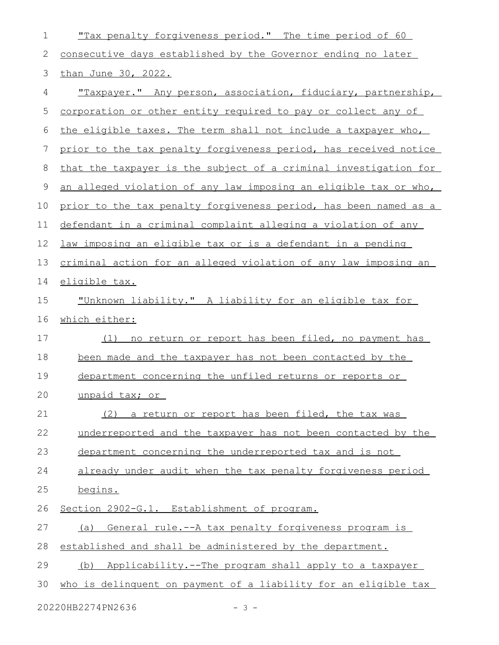| 1  | "Tax penalty forgiveness period." The time period of 60                |
|----|------------------------------------------------------------------------|
| 2  | consecutive days established by the Governor ending no later           |
| 3  | than June 30, 2022.                                                    |
| 4  | "Taxpayer." Any person, association, fiduciary, partnership,           |
| 5  | corporation or other entity required to pay or collect any of          |
| 6  | the eligible taxes. The term shall not include a taxpayer who,         |
| 7  | prior to the tax penalty forgiveness period, has received notice       |
| 8  | that the taxpayer is the subject of a criminal investigation for       |
| 9  | an alleged violation of any law imposing an eligible tax or who,       |
| 10 | prior to the tax penalty forgiveness period, has been named as a       |
| 11 | defendant in a criminal complaint alleging a violation of any          |
| 12 | <u>law imposing an eligible tax or is a defendant in a pending</u>     |
| 13 | <u>criminal action for an alleged violation of any law imposing an</u> |
| 14 | eligible tax.                                                          |
| 15 | "Unknown liability." A liability for an eligible tax for               |
| 16 | which either:                                                          |
| 17 | no return or report has been filed, no payment has<br>(1)              |
| 18 | been made and the taxpayer has not been contacted by the               |
| 19 | department concerning the unfiled returns or reports or                |
| 20 | unpaid tax; or                                                         |
| 21 | (2) a return or report has been filed, the tax was                     |
| 22 | underreported and the taxpayer has not been contacted by the           |
| 23 | department concerning the underreported tax and is not                 |
| 24 | already under audit when the tax penalty forgiveness period            |
| 25 | begins.                                                                |
| 26 | Section 2902-G.1. Establishment of program.                            |
| 27 | (a) General rule.--A tax penalty forgiveness program is                |
| 28 | established and shall be administered by the department.               |
| 29 | Applicability.--The program shall apply to a taxpayer<br>(b)           |
| 30 | who is delinguent on payment of a liability for an eligible tax        |
|    |                                                                        |

20220HB2274PN2636 - 3 -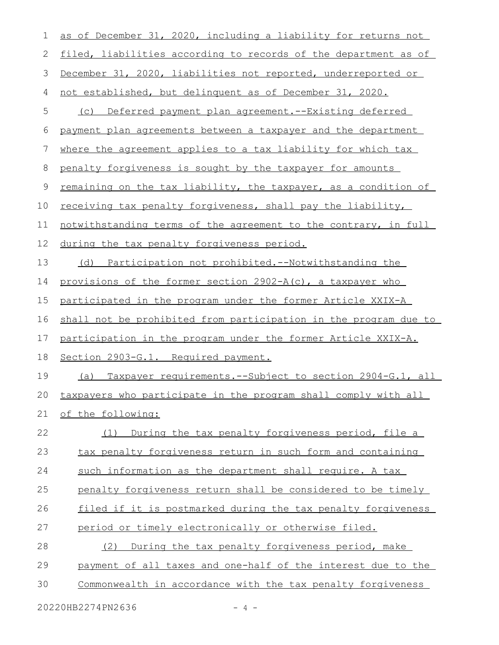| 1  | as of December 31, 2020, including a liability for returns not         |
|----|------------------------------------------------------------------------|
| 2  | filed, liabilities according to records of the department as of        |
| 3  | December 31, 2020, liabilities not reported, underreported or          |
| 4  | not established, but delinquent as of December 31, 2020.               |
| 5  | Deferred payment plan agreement.--Existing deferred<br>(C)             |
| 6  | payment plan agreements between a taxpayer and the department          |
| 7  | where the agreement applies to a tax liability for which tax           |
| 8  | penalty forgiveness is sought by the taxpayer for amounts              |
| 9  | remaining on the tax liability, the taxpayer, as a condition of        |
| 10 | receiving tax penalty forgiveness, shall pay the liability,            |
| 11 | notwithstanding terms of the agreement to the contrary, in full        |
| 12 | during the tax penalty forgiveness period.                             |
| 13 | (d) Participation not prohibited.--Notwithstanding the                 |
| 14 | provisions of the former section 2902-A(c), a taxpayer who             |
| 15 | participated in the program under the former Article XXIX-A            |
| 16 | shall not be prohibited from participation in the program due to       |
| 17 | participation in the program under the former Article XXIX-A.          |
| 18 | Section 2903-G.1. Required payment.                                    |
| 19 | <u>Taxpayer requirements.--Subject to section 2904-G.1, all</u><br>(a) |
| 20 | taxpayers who participate in the program shall comply with all         |
| 21 | of the following:                                                      |
| 22 | (1) During the tax penalty forgiveness period, file a                  |
| 23 | tax penalty forgiveness return in such form and containing             |
| 24 | such information as the department shall require. A tax                |
| 25 | penalty forgiveness return shall be considered to be timely            |
| 26 | filed if it is postmarked during the tax penalty forgiveness           |
| 27 | period or timely electronically or otherwise filed.                    |
| 28 | During the tax penalty forgiveness period, make<br>(2)                 |
| 29 | payment of all taxes and one-half of the interest due to the           |
| 30 | Commonwealth in accordance with the tax penalty forgiveness            |
|    |                                                                        |

20220HB2274PN2636 - 4 -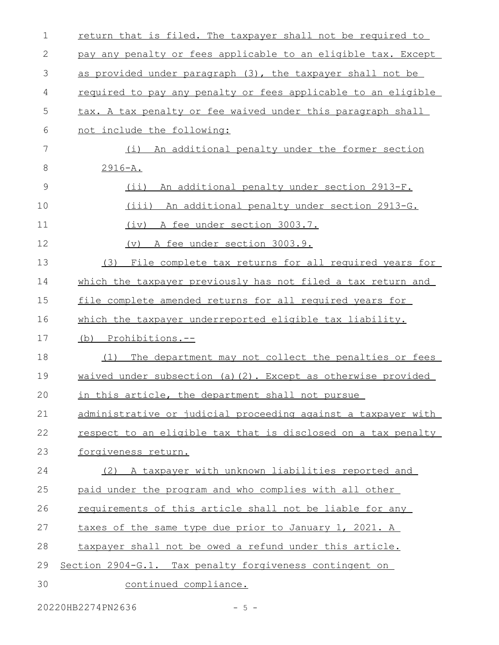| $\mathbf 1$ | return that is filed. The taxpayer shall not be required to   |
|-------------|---------------------------------------------------------------|
| 2           | pay any penalty or fees applicable to an eligible tax. Except |
| 3           | as provided under paragraph (3), the taxpayer shall not be    |
| 4           | required to pay any penalty or fees applicable to an eligible |
| 5           | tax. A tax penalty or fee waived under this paragraph shall   |
| 6           | not include the following:                                    |
| 7           | (i) An additional penalty under the former section            |
| 8           | $2916 - A.$                                                   |
| 9           | $(i$ i)<br>An additional penalty under section 2913-F.        |
| 10          | (iii) An additional penalty under section 2913-G.             |
| 11          | (iv) A fee under section 3003.7.                              |
| 12          | A fee under section 3003.9.<br>$(\triangledown)$              |
| 13          | File complete tax returns for all required years for<br>(3)   |
| 14          | which the taxpayer previously has not filed a tax return and  |
| 15          | file complete amended returns for all required years for      |
| 16          | which the taxpayer underreported eligible tax liability.      |
|             |                                                               |
| 17          | (b) Prohibitions.--                                           |
| 18          | The department may not collect the penalties or fees<br>(1)   |
| 19          | waived under subsection (a)(2). Except as otherwise provided  |
| 20          | in this article, the department shall not pursue              |
| 21          | administrative or judicial proceeding against a taxpayer with |
| 22          | respect to an eligible tax that is disclosed on a tax penalty |
| 23          | forgiveness return.                                           |
| 24          | (2) A taxpayer with unknown liabilities reported and          |
| 25          | paid under the program and who complies with all other        |
| 26          | requirements of this article shall not be liable for any      |
| 27          | taxes of the same type due prior to January 1, 2021. A        |
| 28          | taxpayer shall not be owed a refund under this article.       |
| 29          | Section 2904-G.1. Tax penalty forgiveness contingent on       |

20220HB2274PN2636 - 5 -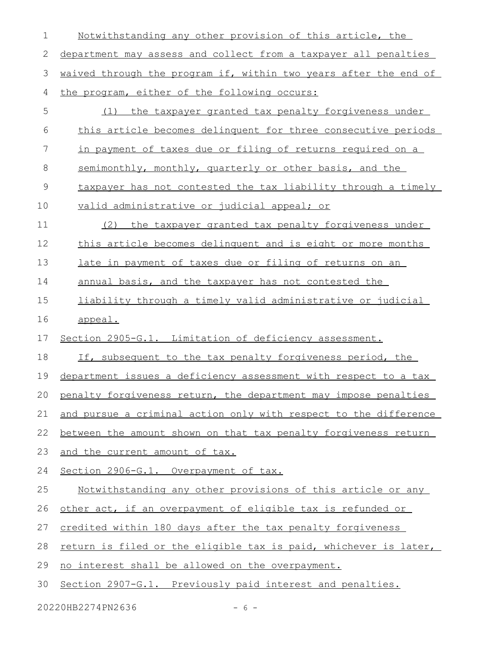Notwithstanding any other provision of this article, the department may assess and collect from a taxpayer all penalties waived through the program if, within two years after the end of the program, either of the following occurs: (1) the taxpayer granted tax penalty forgiveness under this article becomes delinquent for three consecutive periods in payment of taxes due or filing of returns required on a semimonthly, monthly, quarterly or other basis, and the taxpayer has not contested the tax liability through a timely valid administrative or judicial appeal; or (2) the taxpayer granted tax penalty forgiveness under this article becomes delinquent and is eight or more months late in payment of taxes due or filing of returns on an annual basis, and the taxpayer has not contested the liability through a timely valid administrative or judicial appeal. Section 2905-G.1. Limitation of deficiency assessment. If, subsequent to the tax penalty forgiveness period, the department issues a deficiency assessment with respect to a tax penalty forgiveness return, the department may impose penalties and pursue a criminal action only with respect to the difference between the amount shown on that tax penalty forgiveness return and the current amount of tax. Section 2906-G.1. Overpayment of tax. Notwithstanding any other provisions of this article or any other act, if an overpayment of eligible tax is refunded or credited within 180 days after the tax penalty forgiveness return is filed or the eligible tax is paid, whichever is later, no interest shall be allowed on the overpayment. Section 2907-G.1. Previously paid interest and penalties. 1 2 3 4 5 6 7 8 9 10 11 12 13 14 15 16 17 18 19 20 21 22 23 24 25 26 27 28 29 30

20220HB2274PN2636 - 6 -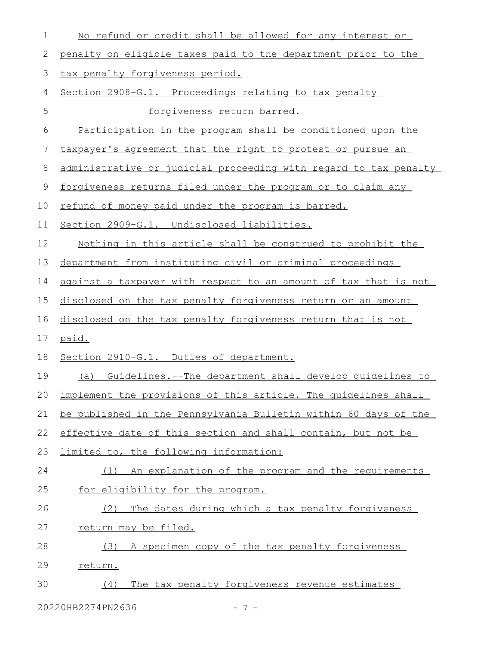| 1  | No refund or credit shall be allowed for any interest or          |
|----|-------------------------------------------------------------------|
| 2  | penalty on eligible taxes paid to the department prior to the     |
| 3  | tax penalty forgiveness period.                                   |
| 4  | Section 2908-G.1. Proceedings relating to tax penalty             |
| 5  | forgiveness return barred.                                        |
| 6  | Participation in the program shall be conditioned upon the        |
| 7  | taxpayer's agreement that the right to protest or pursue an       |
| 8  | administrative or judicial proceeding with regard to tax penalty  |
| 9  | forgiveness returns filed under the program or to claim any       |
| 10 | refund of money paid under the program is barred.                 |
| 11 | Section 2909-G.1. Undisclosed liabilities.                        |
| 12 | Nothing in this article shall be construed to prohibit the        |
| 13 | department from instituting civil or criminal proceedings         |
| 14 | against a taxpayer with respect to an amount of tax that is not   |
| 15 | disclosed on the tax penalty forgiveness return or an amount      |
| 16 | disclosed on the tax penalty forgiveness return that is not       |
| 17 | paid.                                                             |
| 18 | Section 2910-G.1. Duties of department.                           |
| 19 | (a) Guidelines.--The department shall develop quidelines to       |
|    | 20 implement the provisions of this article. The quidelines shall |
| 21 | be published in the Pennsylvania Bulletin within 60 days of the   |
| 22 | effective date of this section and shall contain, but not be      |
| 23 | limited to, the following information:                            |
| 24 | An explanation of the program and the requirements<br>(1)         |
| 25 | for eligibility for the program.                                  |
| 26 | The dates during which a tax penalty forgiveness<br>(2)           |
| 27 | return may be filed.                                              |
| 28 | A specimen copy of the tax penalty forgiveness<br>(3)             |
| 29 | return.                                                           |
| 30 | The tax penalty forgiveness revenue estimates<br>(4)              |
|    |                                                                   |

20220HB2274PN2636 - 7 -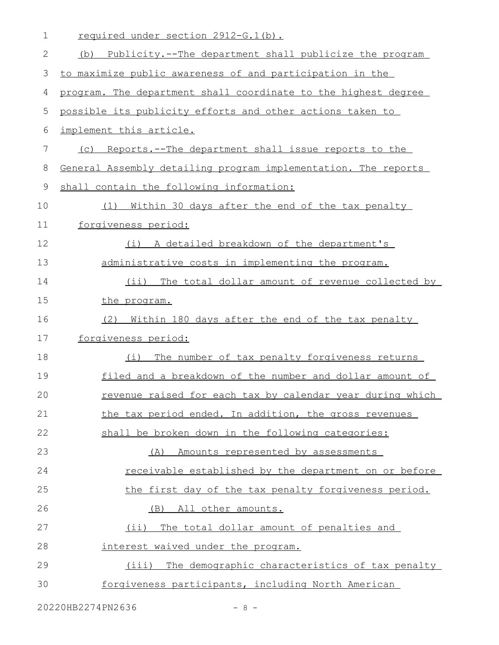|             | required under section 2912-G.1(b).                               |
|-------------|-------------------------------------------------------------------|
| 2           | (b) Publicity.--The department shall publicize the program        |
| 3           | to maximize public awareness of and participation in the          |
| 4           | program. The department shall coordinate to the highest degree    |
| 5           | possible its publicity efforts and other actions taken to         |
| 6           | implement this article.                                           |
| 7           | <u>Reports.--The department shall issue reports to the</u><br>(C) |
| 8           | General Assembly detailing program implementation. The reports    |
| $\mathsf 9$ | shall contain the following information:                          |
| 10          | Within 30 days after the end of the tax penalty<br>(1)            |
| 11          | forgiveness period:                                               |
| 12          | (i) A detailed breakdown of the department's                      |
| 13          | administrative costs in implementing the program.                 |
| 14          | (ii) The total dollar amount of revenue collected by              |
| 15          | the program.                                                      |
| 16          | Within 180 days after the end of the tax penalty<br>(2)           |
| 17          | forgiveness period:                                               |
| 18          | The number of tax penalty forgiveness returns<br>(i)              |
| 19          | filed and a breakdown of the number and dollar amount of          |
| 20          | revenue raised for each tax by calendar year during which         |
| 21          | the tax period ended. In addition, the gross revenues             |
| 22          | shall be broken down in the following categories:                 |
| 23          | (A) Amounts represented by assessments                            |
| 24          | <u>receivable established by the department on or before</u>      |
| 25          | the first day of the tax penalty forgiveness period.              |
| 26          | (B) All other amounts.                                            |
| 27          | The total dollar amount of penalties and<br>$(i$ i)               |
| 28          | interest waived under the program.                                |
| 29          | (iii) The demographic characteristics of tax penalty              |
| 30          | forgiveness participants, including North American                |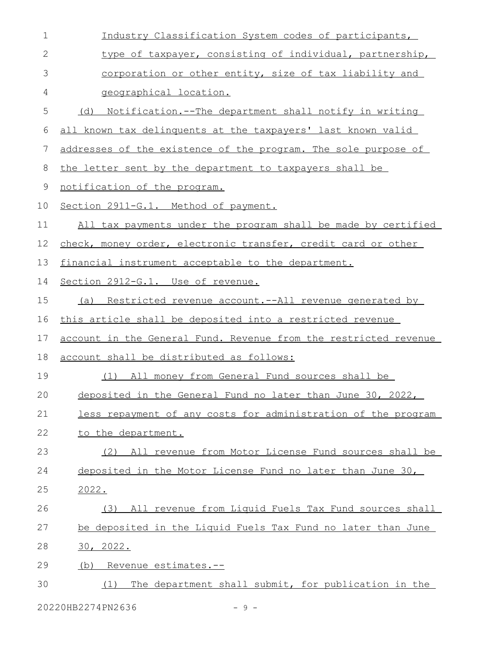| 1  | Industry Classification System codes of participants,               |
|----|---------------------------------------------------------------------|
| 2  | type of taxpayer, consisting of individual, partnership,            |
| 3  | corporation or other entity, size of tax liability and              |
| 4  | geographical location.                                              |
| 5  | <u>Notification.--The department shall notify in writing</u><br>(d) |
| 6  | all known tax delinquents at the taxpayers' last known valid        |
| 7  | addresses of the existence of the program. The sole purpose of      |
| 8  | the letter sent by the department to taxpayers shall be             |
| 9  | notification of the program.                                        |
| 10 | Section 2911-G.1. Method of payment.                                |
| 11 | All tax payments under the program shall be made by certified       |
| 12 | check, money order, electronic transfer, credit card or other       |
| 13 | financial instrument acceptable to the department.                  |
| 14 | Section 2912-G.1. Use of revenue.                                   |
| 15 | Restricted revenue account.--All revenue generated by<br>(a)        |
| 16 | this article shall be deposited into a restricted revenue           |
| 17 | account in the General Fund. Revenue from the restricted revenue    |
| 18 | account shall be distributed as follows:                            |
| 19 | (1) All money from General Fund sources shall be                    |
| 20 | deposited in the General Fund no later than June 30, 2022,          |
| 21 | less repayment of any costs for administration of the program       |
| 22 | to the department.                                                  |
| 23 | (2) All revenue from Motor License Fund sources shall be            |
| 24 | deposited in the Motor License Fund no later than June 30,          |
| 25 | 2022.                                                               |
| 26 | (3) All revenue from Liquid Fuels Tax Fund sources shall            |
| 27 | be deposited in the Liquid Fuels Tax Fund no later than June        |
| 28 | 30, 2022.                                                           |
| 29 | Revenue estimates.--<br>(b)                                         |
| 30 | The department shall submit, for publication in the<br>(1)          |
|    |                                                                     |

20220HB2274PN2636 - 9 -